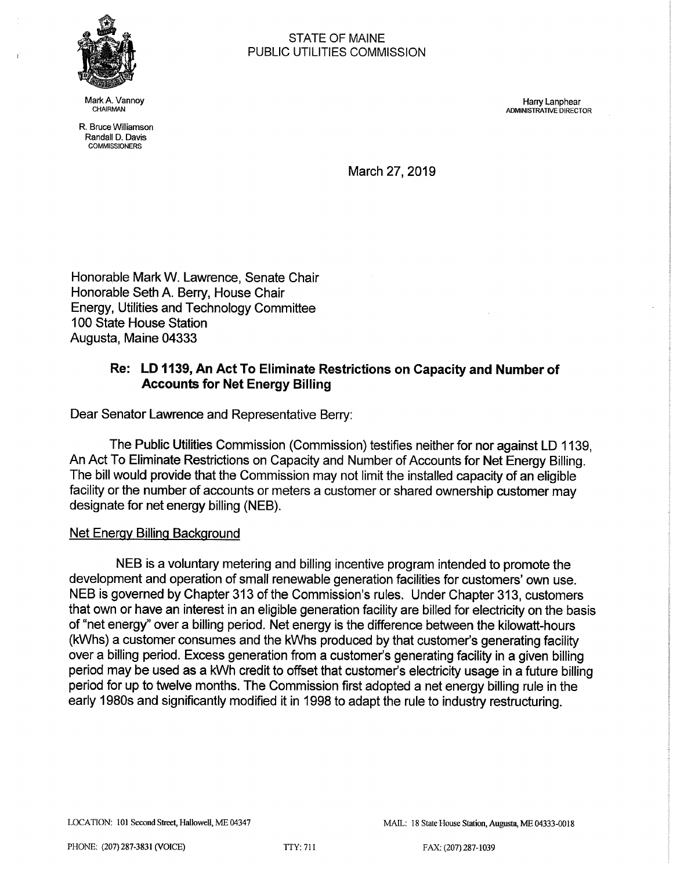

R. Bruce Williamson Randall D. Davis **COMMISSIONERS** 

STATE OF MAINE PUBLIC UTILITIES COMMISSION

Mark A. Vannoy Harry Lanphear ADMINISTRATIVE DIRECTOR

March 27, 2019

Honorable Mark W. Lawrence, Senate Chair Honorable Seth A. Berry, House Chair Energy, Utilities and Technology Committee 100 State House Station Augusta, Maine 04333

## Re: LD 1139, An Act To Eliminate Restrictions on Capacity and Number of Accounts for Net Energy Billing

Dear Senator Lawrence and Representative Berry:

The Public Utilities Commission (Commission) testifies neither for nor against LD 1139, An Act To Eliminate Restrictions on Capacity and Number of Accounts for Net Energy Billing. The bill would provide that the Commission may not limit the installed capacity of an eligible facility or the number of accounts or meters a customer or shared ownership customer may designate for net energy billing (NEB).

## Net Energy Billing Background

NEB is a voluntary metering and billing incentive program intended to promote the development and operation of small renewable generation facilities for customers' own use. NEB is governed by Chapter 313 of the Commission's rules. Under Chapter 313, customers that own or have an interest in an eligible generation facility are billed for electricity on the basis of "net energy" over a billing period. Net energy is the difference between the kilowatt-hours (kWhs) a customer consumes and the kWhs produced by that customer's generating facility over a billing period. Excess generation from a customer's generating facility in a given billing period may be used as a kWh credit to offset that customer's electricity usage in a future billing period for up to twelve months. The Commission first adopted a net energy billing rule in the early 1980s and significantly modified it in 1998 to adapt the rule to industry restructuring.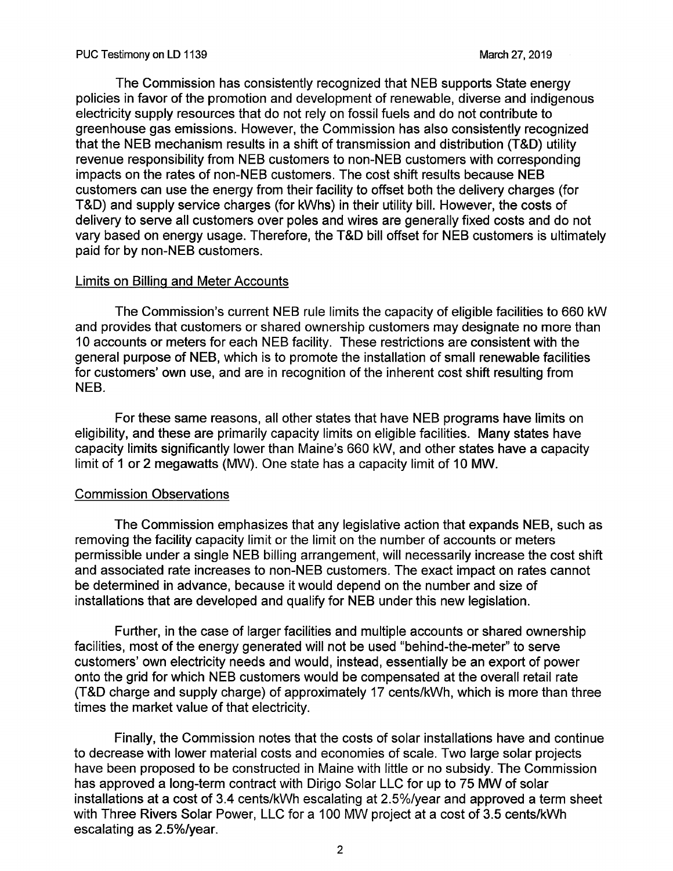The Commission has consistently recognized that NEB supports State energy policies in favor of the promotion and development of renewable, diverse and indigenous electricity supply resources that do not rely on fossil fuels and do not contribute to greenhouse gas emissions. However, the Commission has also consistently recognized that the NEB mechanism results in a shift of transmission and distribution (T&D) utility revenue responsibility from NEB customers to non-NEB customers with corresponding impacts on the rates of non-NEB customers. The cost shift results because NEB customers can use the energy from their facility to offset both the delivery charges (for T&D) and supply service charges (for kWhs) in their utility bill. However, the costs of delivery to serve all customers over poles and wires are generally fixed costs and do not vary based on energy usage. Therefore, the T&D bill offset for NEB customers is ultimately paid for by non-NEB customers.

## Limits on Billing and Meter Accounts

The Commission's current NEB rule limits the capacity of eligible facilities to 660 kW and provides that customers or shared ownership customers may designate no more than 10 accounts or meters for each NEB facility. These restrictions are consistent with the general purpose of NEB, which is to promote the installation of small renewable facilities for customers' own use, and are in recognition of the inherent cost shift resulting from NEB.

For these same reasons, all other states that have NEB programs have limits on eligibility, and these are primarily capacity limits on eligible facilities. Many states have capacity limits significantly lower than Maine's 660 kW, and other states have a capacity limit of 1 or 2 megawatts (MW). One state has a capacity limit of 10 MW.

## Commission Observations

The Commission emphasizes that any legislative action that expands NEB, such as removing the facility capacity limit or the limit on the number of accounts or meters permissible under a single NEB billing arrangement, will necessarily increase the cost shift and associated rate increases to non-NEB customers. The exact impact on rates cannot be determined in advance, because it would depend on the number and size of installations that are developed and qualify for NEB under this new legislation.

Further, in the case of larger facilities and multiple accounts or shared ownership facilities, most of the energy generated will not be used "behind-the-meter" to serve customers' own electricity needs and would, instead, essentially be an export of power onto the grid for which NEB customers would be compensated at the overall retail rate (T&D charge and supply charge) of approximately 17 cents/kWh, which is more than three times the market value of that electricity.

Finally, the Commission notes that the costs of solar installations have and continue to decrease with lower material costs and economies of scale. Two large solar projects have been proposed to be constructed in Maine with little or no subsidy. The Commission has approved a long-term contract with Dirigo Solar LLC for up to <sup>75</sup>MW of solar installations at a cost of 3.4 cents/kWh escalating at 2.5%/year and approved a term sheet with Three Rivers Solar Power, LLC for a 100 MW project at a cost of 3.5 cents/kWh escalating as 2.5%/year.